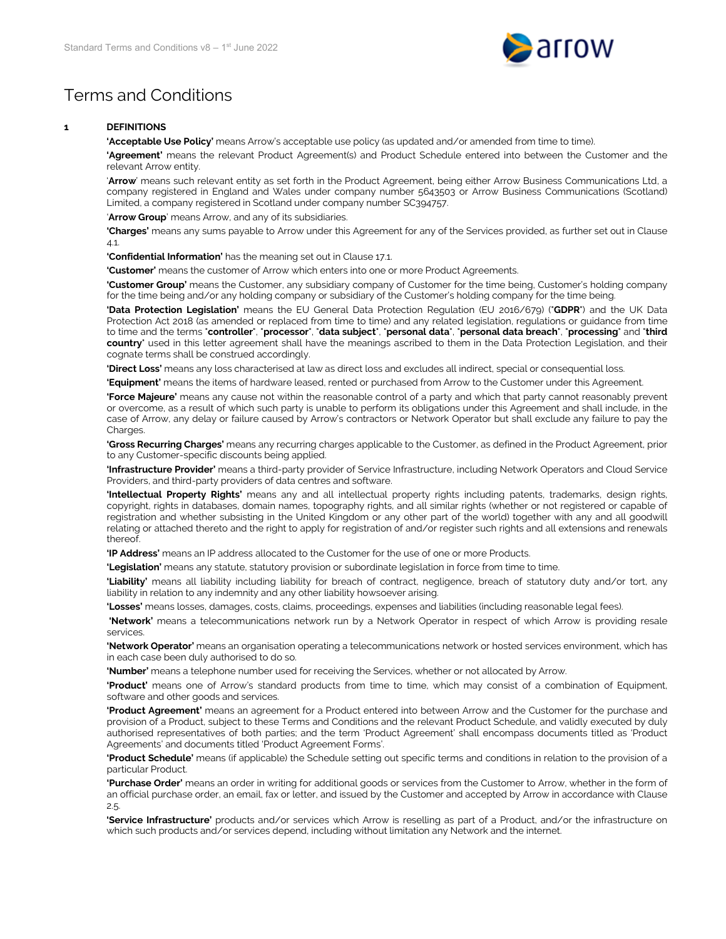

## Terms and Conditions

## **1 DEFINITIONS**

**'Acceptable Use Policy'** means Arrow's acceptable use policy (as updated and/or amended from time to time).

**'Agreement'** means the relevant Product Agreement(s) and Product Schedule entered into between the Customer and the relevant Arrow entity.

'**Arrow**' means such relevant entity as set forth in the Product Agreement, being either Arrow Business Communications Ltd, a company registered in England and Wales under company number 5643503 or Arrow Business Communications (Scotland) Limited, a company registered in Scotland under company number SC394757.

'**Arrow Group**' means Arrow, and any of its subsidiaries.

**'Charges'** means any sums payable to Arrow under this Agreement for any of the Services provided, as further set out in Clause [4.1.](#page-2-0)

**'Confidential Information'** has the meaning set out in Clause [17.1.](#page-6-0)

**'Customer'** means the customer of Arrow which enters into one or more Product Agreements.

**'Customer Group'** means the Customer, any subsidiary company of Customer for the time being, Customer's holding company for the time being and/or any holding company or subsidiary of the Customer's holding company for the time being.

**'Data Protection Legislation'** means the EU General Data Protection Regulation (EU 2016/679) ("**GDPR**") and the UK Data Protection Act 2018 (as amended or replaced from time to time) and any related legislation, regulations or guidance from time to time and the terms "**controller**", "**processor**", "**data subject**", "**personal data**", "**personal data breach**", "**processing**" and "**third country**" used in this letter agreement shall have the meanings ascribed to them in the Data Protection Legislation, and their cognate terms shall be construed accordingly.

**'Direct Loss'** means any loss characterised at law as direct loss and excludes all indirect, special or consequential loss.

**'Equipment'** means the items of hardware leased, rented or purchased from Arrow to the Customer under this Agreement.

**'Force Majeure'** means any cause not within the reasonable control of a party and which that party cannot reasonably prevent or overcome, as a result of which such party is unable to perform its obligations under this Agreement and shall include, in the case of Arrow, any delay or failure caused by Arrow's contractors or Network Operator but shall exclude any failure to pay the Charges.

**'Gross Recurring Charges'** means any recurring charges applicable to the Customer, as defined in the Product Agreement, prior to any Customer-specific discounts being applied.

**'Infrastructure Provider'** means a third-party provider of Service Infrastructure, including Network Operators and Cloud Service Providers, and third-party providers of data centres and software.

**'Intellectual Property Rights'** means any and all intellectual property rights including patents, trademarks, design rights, copyright, rights in databases, domain names, topography rights, and all similar rights (whether or not registered or capable of registration and whether subsisting in the United Kingdom or any other part of the world) together with any and all goodwill relating or attached thereto and the right to apply for registration of and/or register such rights and all extensions and renewals thereof.

**'IP Address'** means an IP address allocated to the Customer for the use of one or more Products.

**'Legislation'** means any statute, statutory provision or subordinate legislation in force from time to time.

**'Liability'** means all liability including liability for breach of contract, negligence, breach of statutory duty and/or tort, any liability in relation to any indemnity and any other liability howsoever arising.

**'Losses'** means losses, damages, costs, claims, proceedings, expenses and liabilities (including reasonable legal fees).

**'Network'** means a telecommunications network run by a Network Operator in respect of which Arrow is providing resale services.

**'Network Operator'** means an organisation operating a telecommunications network or hosted services environment, which has in each case been duly authorised to do so.

**'Number'** means a telephone number used for receiving the Services, whether or not allocated by Arrow.

**'Product'** means one of Arrow's standard products from time to time, which may consist of a combination of Equipment, software and other goods and services.

**'Product Agreement'** means an agreement for a Product entered into between Arrow and the Customer for the purchase and provision of a Product, subject to these Terms and Conditions and the relevant Product Schedule, and validly executed by duly authorised representatives of both parties; and the term 'Product Agreement' shall encompass documents titled as 'Product Agreements' and documents titled 'Product Agreement Forms'.

**'Product Schedule'** means (if applicable) the Schedule setting out specific terms and conditions in relation to the provision of a particular Product.

**'Purchase Order'** means an order in writing for additional goods or services from the Customer to Arrow, whether in the form of an official purchase order, an email, fax or letter, and issued by the Customer and accepted by Arrow in accordance with Clause [2.5.](#page-1-0) 

**'Service Infrastructure'** products and/or services which Arrow is reselling as part of a Product, and/or the infrastructure on which such products and/or services depend, including without limitation any Network and the internet.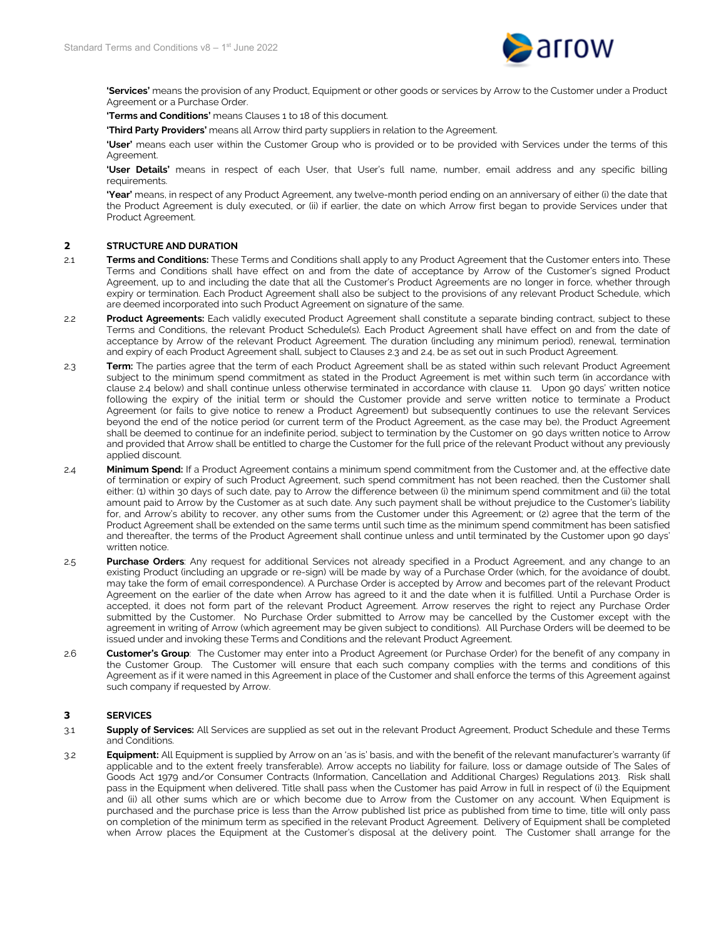

**'Services'** means the provision of any Product, Equipment or other goods or services by Arrow to the Customer under a Product Agreement or a Purchase Order.

**'Terms and Conditions'** means Clauses 1 t[o 18](#page-7-0) of this document.

**'Third Party Providers'** means all Arrow third party suppliers in relation to the Agreement.

**'User'** means each user within the Customer Group who is provided or to be provided with Services under the terms of this Agreement.

**'User Details'** means in respect of each User, that User's full name, number, email address and any specific billing requirements.

**'Year'** means, in respect of any Product Agreement, any twelve-month period ending on an anniversary of either (i) the date that the Product Agreement is duly executed, or (ii) if earlier, the date on which Arrow first began to provide Services under that Product Agreement.

## **2 STRUCTURE AND DURATION**

- 2.1 **Terms and Conditions:** These Terms and Conditions shall apply to any Product Agreement that the Customer enters into. These Terms and Conditions shall have effect on and from the date of acceptance by Arrow of the Customer's signed Product Agreement, up to and including the date that all the Customer's Product Agreements are no longer in force, whether through expiry or termination. Each Product Agreement shall also be subject to the provisions of any relevant Product Schedule, which are deemed incorporated into such Product Agreement on signature of the same.
- 2.2 **Product Agreements:** Each validly executed Product Agreement shall constitute a separate binding contract, subject to these Terms and Conditions, the relevant Product Schedule(s). Each Product Agreement shall have effect on and from the date of acceptance by Arrow of the relevant Product Agreement. The duration (including any minimum period), renewal, termination and expiry of each Product Agreement shall, subject to Clauses [2.3](#page-1-1) an[d 2.4,](#page-1-2) be as set out in such Product Agreement.
- <span id="page-1-1"></span>2.3 **Term:** The parties agree that the term of each Product Agreement shall be as stated within such relevant Product Agreement subject to the minimum spend commitment as stated in the Product Agreement is met within such term (in accordance with clause 2.4 below) and shall continue unless otherwise terminated in accordance with clause 11. Upon 90 days' written notice following the expiry of the initial term or should the Customer provide and serve written notice to terminate a Product Agreement (or fails to give notice to renew a Product Agreement) but subsequently continues to use the relevant Services beyond the end of the notice period (or current term of the Product Agreement, as the case may be), the Product Agreement shall be deemed to continue for an indefinite period, subject to termination by the Customer on 90 days written notice to Arrow and provided that Arrow shall be entitled to charge the Customer for the full price of the relevant Product without any previously applied discount.
- <span id="page-1-2"></span>2.4 **Minimum Spend:** If a Product Agreement contains a minimum spend commitment from the Customer and, at the effective date of termination or expiry of such Product Agreement, such spend commitment has not been reached, then the Customer shall either: (1) within 30 days of such date, pay to Arrow the difference between (i) the minimum spend commitment and (ii) the total amount paid to Arrow by the Customer as at such date. Any such payment shall be without prejudice to the Customer's liability for, and Arrow's ability to recover, any other sums from the Customer under this Agreement; or (2) agree that the term of the Product Agreement shall be extended on the same terms until such time as the minimum spend commitment has been satisfied and thereafter, the terms of the Product Agreement shall continue unless and until terminated by the Customer upon 90 days' written notice.
- <span id="page-1-0"></span>2.5 **Purchase Orders**: Any request for additional Services not already specified in a Product Agreement, and any change to an existing Product (including an upgrade or re-sign) will be made by way of a Purchase Order (which, for the avoidance of doubt, may take the form of email correspondence). A Purchase Order is accepted by Arrow and becomes part of the relevant Product Agreement on the earlier of the date when Arrow has agreed to it and the date when it is fulfilled. Until a Purchase Order is accepted, it does not form part of the relevant Product Agreement. Arrow reserves the right to reject any Purchase Order submitted by the Customer. No Purchase Order submitted to Arrow may be cancelled by the Customer except with the agreement in writing of Arrow (which agreement may be given subject to conditions). All Purchase Orders will be deemed to be issued under and invoking these Terms and Conditions and the relevant Product Agreement.
- 2.6 **Customer's Group**: The Customer may enter into a Product Agreement (or Purchase Order) for the benefit of any company in the Customer Group. The Customer will ensure that each such company complies with the terms and conditions of this Agreement as if it were named in this Agreement in place of the Customer and shall enforce the terms of this Agreement against such company if requested by Arrow.

## **3 SERVICES**

- 3.1 **Supply of Services:** All Services are supplied as set out in the relevant Product Agreement, Product Schedule and these Terms and Conditions.
- 3.2 **Equipment:** All Equipment is supplied by Arrow on an 'as is' basis, and with the benefit of the relevant manufacturer's warranty (if applicable and to the extent freely transferable). Arrow accepts no liability for failure, loss or damage outside of The Sales of Goods Act 1979 and/or Consumer Contracts (Information, Cancellation and Additional Charges) Regulations 2013. Risk shall pass in the Equipment when delivered. Title shall pass when the Customer has paid Arrow in full in respect of (i) the Equipment and (ii) all other sums which are or which become due to Arrow from the Customer on any account. When Equipment is purchased and the purchase price is less than the Arrow published list price as published from time to time, title will only pass on completion of the minimum term as specified in the relevant Product Agreement. Delivery of Equipment shall be completed when Arrow places the Equipment at the Customer's disposal at the delivery point. The Customer shall arrange for the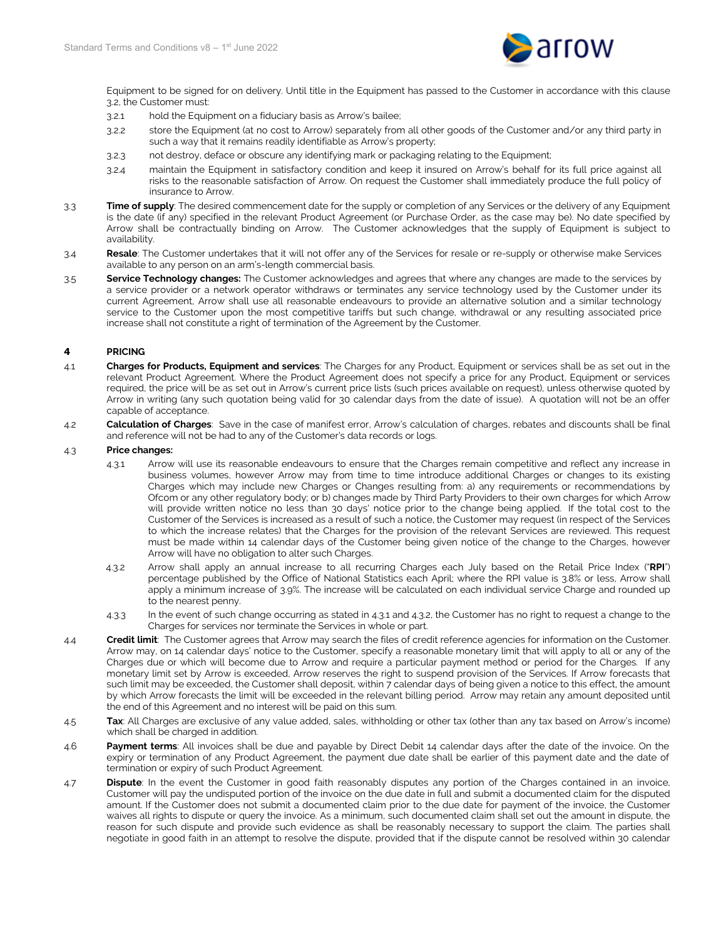

Equipment to be signed for on delivery. Until title in the Equipment has passed to the Customer in accordance with this clause 3.2, the Customer must:

- 3.2.1 hold the Equipment on a fiduciary basis as Arrow's bailee;
- 3.2.2 store the Equipment (at no cost to Arrow) separately from all other goods of the Customer and/or any third party in such a way that it remains readily identifiable as Arrow's property;
- 3.2.3 not destroy, deface or obscure any identifying mark or packaging relating to the Equipment;
- 3.2.4 maintain the Equipment in satisfactory condition and keep it insured on Arrow's behalf for its full price against all risks to the reasonable satisfaction of Arrow. On request the Customer shall immediately produce the full policy of insurance to Arrow.
- 3.3 **Time of supply**: The desired commencement date for the supply or completion of any Services or the delivery of any Equipment is the date (if any) specified in the relevant Product Agreement (or Purchase Order, as the case may be). No date specified by Arrow shall be contractually binding on Arrow. The Customer acknowledges that the supply of Equipment is subject to availability.
- 3.4 **Resale**: The Customer undertakes that it will not offer any of the Services for resale or re-supply or otherwise make Services available to any person on an arm's-length commercial basis.
- 3.5 **Service Technology changes:** The Customer acknowledges and agrees that where any changes are made to the services by a service provider or a network operator withdraws or terminates any service technology used by the Customer under its current Agreement, Arrow shall use all reasonable endeavours to provide an alternative solution and a similar technology service to the Customer upon the most competitive tariffs but such change, withdrawal or any resulting associated price increase shall not constitute a right of termination of the Agreement by the Customer.

## **4 PRICING**

- <span id="page-2-0"></span>4.1 **Charges for Products, Equipment and services**: The Charges for any Product, Equipment or services shall be as set out in the relevant Product Agreement. Where the Product Agreement does not specify a price for any Product, Equipment or services required, the price will be as set out in Arrow's current price lists (such prices available on request), unless otherwise quoted by Arrow in writing (any such quotation being valid for 30 calendar days from the date of issue). A quotation will not be an offer capable of acceptance.
- 4.2 **Calculation of Charges**: Save in the case of manifest error, Arrow's calculation of charges, rebates and discounts shall be final and reference will not be had to any of the Customer's data records or logs.

## <span id="page-2-1"></span>4.3 **Price changes:**

- 4.3.1Arrow will use its reasonable endeavours to ensure that the Charges remain competitive and reflect any increase in business volumes, however Arrow may from time to time introduce additional Charges or changes to its existing Charges which may include new Charges or Changes resulting from: a) any requirements or recommendations by Ofcom or any other regulatory body; or b) changes made by Third Party Providers to their own charges for which Arrow will provide written notice no less than 30 days' notice prior to the change being applied. If the total cost to the Customer of the Services is increased as a result of such a notice, the Customer may request (in respect of the Services to which the increase relates) that the Charges for the provision of the relevant Services are reviewed. This request must be made within 14 calendar days of the Customer being given notice of the change to the Charges, however Arrow will have no obligation to alter such Charges.
- 4.3.2 Arrow shall apply an annual increase to all recurring Charges each July based on the Retail Price Index ("**RPI**") percentage published by the Office of National Statistics each April; where the RPI value is 3.8% or less, Arrow shall apply a minimum increase of 3.9%. The increase will be calculated on each individual service Charge and rounded up to the nearest penny.
- 4.3.3 In the event of such change occurring as stated in 4.3.1 and 4.3.2, the Customer has no right to request a change to the Charges for services nor terminate the Services in whole or part.
- 4.4 **Credit limit**: The Customer agrees that Arrow may search the files of credit reference agencies for information on the Customer. Arrow may, on 14 calendar days' notice to the Customer, specify a reasonable monetary limit that will apply to all or any of the Charges due or which will become due to Arrow and require a particular payment method or period for the Charges. If any monetary limit set by Arrow is exceeded, Arrow reserves the right to suspend provision of the Services. If Arrow forecasts that such limit may be exceeded, the Customer shall deposit, within 7 calendar days of being given a notice to this effect, the amount by which Arrow forecasts the limit will be exceeded in the relevant billing period. Arrow may retain any amount deposited until the end of this Agreement and no interest will be paid on this sum.
- 4.5 **Tax**: All Charges are exclusive of any value added, sales, withholding or other tax (other than any tax based on Arrow's income) which shall be charged in addition.
- 4.6 **Payment terms**: All invoices shall be due and payable by Direct Debit 14 calendar days after the date of the invoice. On the expiry or termination of any Product Agreement, the payment due date shall be earlier of this payment date and the date of termination or expiry of such Product Agreement.
- 4.7 **Dispute**: In the event the Customer in good faith reasonably disputes any portion of the Charges contained in an invoice, Customer will pay the undisputed portion of the invoice on the due date in full and submit a documented claim for the disputed amount. If the Customer does not submit a documented claim prior to the due date for payment of the invoice, the Customer waives all rights to dispute or query the invoice. As a minimum, such documented claim shall set out the amount in dispute, the reason for such dispute and provide such evidence as shall be reasonably necessary to support the claim. The parties shall negotiate in good faith in an attempt to resolve the dispute, provided that if the dispute cannot be resolved within 30 calendar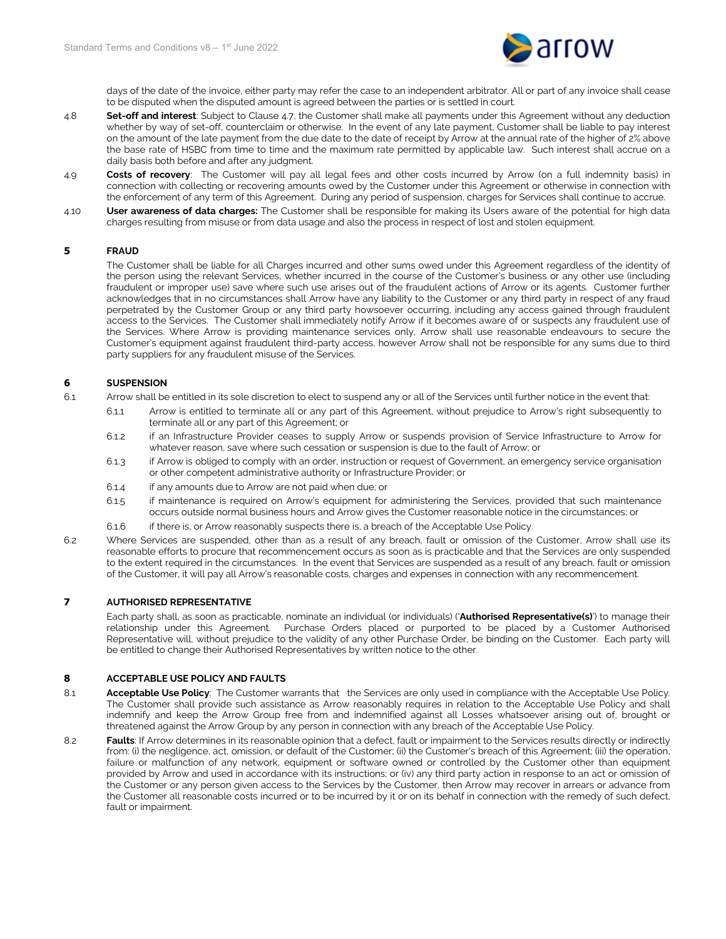

days of the date of the invoice, either party may refer the case to an independent arbitrator. All or part of any invoice shall cease to be disputed when the disputed amount is agreed between the parties or is settled in court.

- 4.8 **Set-off and interest**: Subject to Clause 4.7, the Customer shall make all payments under this Agreement without any deduction whether by way of set-off, counterclaim or otherwise. In the event of any late payment, Customer shall be liable to pay interest on the amount of the late payment from the due date to the date of receipt by Arrow at the annual rate of the higher of 2% above the base rate of HSBC from time to time and the maximum rate permitted by applicable law. Such interest shall accrue on a daily basis both before and after any judgment.
- 4.9 **Costs of recovery**: The Customer will pay all legal fees and other costs incurred by Arrow (on a full indemnity basis) in connection with collecting or recovering amounts owed by the Customer under this Agreement or otherwise in connection with the enforcement of any term of this Agreement. During any period of suspension, charges for Services shall continue to accrue.
- 4.10 **User awareness of data charges:** The Customer shall be responsible for making its Users aware of the potential for high data charges resulting from misuse or from data usage and also the process in respect of lost and stolen equipment.

## **5 FRAUD**

The Customer shall be liable for all Charges incurred and other sums owed under this Agreement regardless of the identity of the person using the relevant Services, whether incurred in the course of the Customer's business or any other use (including fraudulent or improper use) save where such use arises out of the fraudulent actions of Arrow or its agents. Customer further acknowledges that in no circumstances shall Arrow have any liability to the Customer or any third party in respect of any fraud perpetrated by the Customer Group or any third party howsoever occurring, including any access gained through fraudulent access to the Services. The Customer shall immediately notify Arrow if it becomes aware of or suspects any fraudulent use of the Services. Where Arrow is providing maintenance services only, Arrow shall use reasonable endeavours to secure the Customer's equipment against fraudulent third-party access, however Arrow shall not be responsible for any sums due to third party suppliers for any fraudulent misuse of the Services.

## **6 SUSPENSION**

- 6.1 Arrow shall be entitled in its sole discretion to elect to suspend any or all of the Services until further notice in the event that:
	- 6.1.1 Arrow is entitled to terminate all or any part of this Agreement, without prejudice to Arrow's right subsequently to terminate all or any part of this Agreement; or
	- 6.1.2 if an Infrastructure Provider ceases to supply Arrow or suspends provision of Service Infrastructure to Arrow for whatever reason, save where such cessation or suspension is due to the fault of Arrow; or
	- 6.1.3 if Arrow is obliged to comply with an order, instruction or request of Government, an emergency service organisation or other competent administrative authority or Infrastructure Provider; or
	- 6.1.4 if any amounts due to Arrow are not paid when due; or
	- 6.1.5 if maintenance is required on Arrow's equipment for administering the Services, provided that such maintenance occurs outside normal business hours and Arrow gives the Customer reasonable notice in the circumstances; or
	- 6.1.6 if there is, or Arrow reasonably suspects there is, a breach of the Acceptable Use Policy.
- 6.2 Where Services are suspended, other than as a result of any breach, fault or omission of the Customer, Arrow shall use its reasonable efforts to procure that recommencement occurs as soon as is practicable and that the Services are only suspended to the extent required in the circumstances. In the event that Services are suspended as a result of any breach, fault or omission of the Customer, it will pay all Arrow's reasonable costs, charges and expenses in connection with any recommencement.

## **7 AUTHORISED REPRESENTATIVE**

Each party shall, as soon as practicable, nominate an individual (or individuals) ('**Authorised Representative(s)**') to manage their relationship under this Agreement. Purchase Orders placed or purported to be placed by a Customer Authorised Representative will, without prejudice to the validity of any other Purchase Order, be binding on the Customer. Each party will be entitled to change their Authorised Representatives by written notice to the other.

## **8 ACCEPTABLE USE POLICY AND FAULTS**

- 8.1 **Acceptable Use Policy**: The Customer warrants that the Services are only used in compliance with the Acceptable Use Policy. The Customer shall provide such assistance as Arrow reasonably requires in relation to the Acceptable Use Policy and shall indemnify and keep the Arrow Group free from and indemnified against all Losses whatsoever arising out of, brought or threatened against the Arrow Group by any person in connection with any breach of the Acceptable Use Policy.
- 8.2 **Faults**: If Arrow determines in its reasonable opinion that a defect, fault or impairment to the Services results directly or indirectly from: (i) the negligence, act, omission, or default of the Customer; (ii) the Customer's breach of this Agreement; (iii) the operation, failure or malfunction of any network, equipment or software owned or controlled by the Customer other than equipment provided by Arrow and used in accordance with its instructions; or (iv) any third party action in response to an act or omission of the Customer or any person given access to the Services by the Customer, then Arrow may recover in arrears or advance from the Customer all reasonable costs incurred or to be incurred by it or on its behalf in connection with the remedy of such defect, fault or impairment.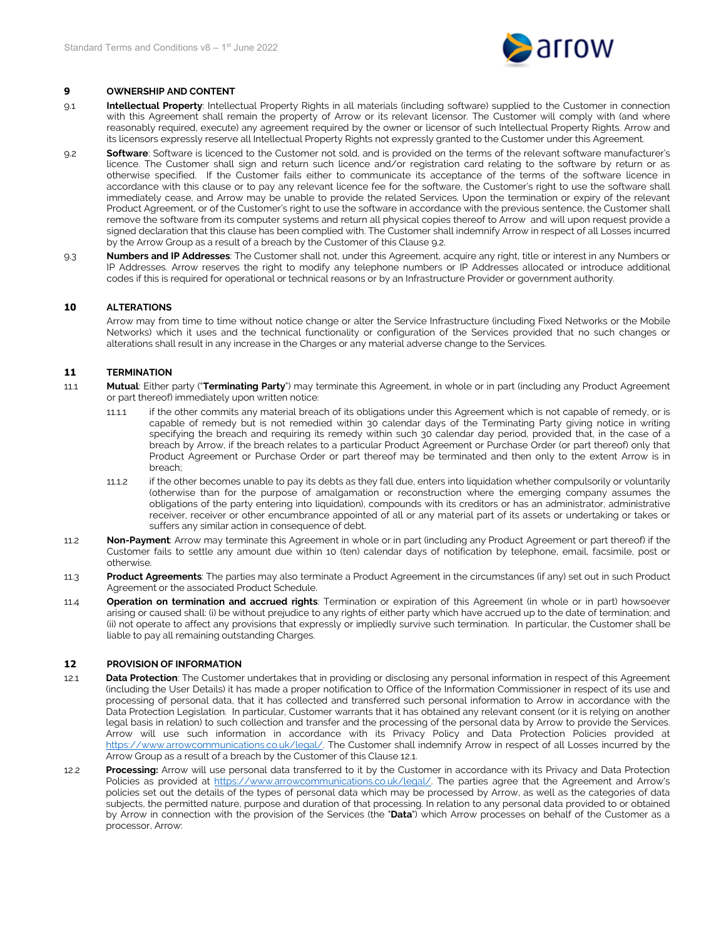

## **9 OWNERSHIP AND CONTENT**

- 9.1 **Intellectual Property**: Intellectual Property Rights in all materials (including software) supplied to the Customer in connection with this Agreement shall remain the property of Arrow or its relevant licensor. The Customer will comply with (and where reasonably required, execute) any agreement required by the owner or licensor of such Intellectual Property Rights. Arrow and its licensors expressly reserve all Intellectual Property Rights not expressly granted to the Customer under this Agreement.
- 9.2 **Software**: Software is licenced to the Customer not sold, and is provided on the terms of the relevant software manufacturer's licence. The Customer shall sign and return such licence and/or registration card relating to the software by return or as otherwise specified. If the Customer fails either to communicate its acceptance of the terms of the software licence in accordance with this clause or to pay any relevant licence fee for the software, the Customer's right to use the software shall immediately cease, and Arrow may be unable to provide the related Services. Upon the termination or expiry of the relevant Product Agreement, or of the Customer's right to use the software in accordance with the previous sentence, the Customer shall remove the software from its computer systems and return all physical copies thereof to Arrow and will upon request provide a signed declaration that this clause has been complied with. The Customer shall indemnify Arrow in respect of all Losses incurred by the Arrow Group as a result of a breach by the Customer of this Clause 9.2.
- 9.3 **Numbers and IP Addresses**: The Customer shall not, under this Agreement, acquire any right, title or interest in any Numbers or IP Addresses. Arrow reserves the right to modify any telephone numbers or IP Addresses allocated or introduce additional codes if this is required for operational or technical reasons or by an Infrastructure Provider or government authority.

## **10 ALTERATIONS**

Arrow may from time to time without notice change or alter the Service Infrastructure (including Fixed Networks or the Mobile Networks) which it uses and the technical functionality or configuration of the Services provided that no such changes or alterations shall result in any increase in the Charges or any material adverse change to the Services.

## **11 TERMINATION**

- 11.1 **Mutual**: Either party ("**Terminating Party**") may terminate this Agreement, in whole or in part (including any Product Agreement or part thereof) immediately upon written notice:
	- 11.1.1 if the other commits any material breach of its obligations under this Agreement which is not capable of remedy, or is capable of remedy but is not remedied within 30 calendar days of the Terminating Party giving notice in writing specifying the breach and requiring its remedy within such 30 calendar day period, provided that, in the case of a breach by Arrow, if the breach relates to a particular Product Agreement or Purchase Order (or part thereof) only that Product Agreement or Purchase Order or part thereof may be terminated and then only to the extent Arrow is in breach;
	- 11.1.2 if the other becomes unable to pay its debts as they fall due, enters into liquidation whether compulsorily or voluntarily (otherwise than for the purpose of amalgamation or reconstruction where the emerging company assumes the obligations of the party entering into liquidation), compounds with its creditors or has an administrator, administrative receiver, receiver or other encumbrance appointed of all or any material part of its assets or undertaking or takes or suffers any similar action in consequence of debt.
- 11.2 **Non-Payment**: Arrow may terminate this Agreement in whole or in part (including any Product Agreement or part thereof) if the Customer fails to settle any amount due within 10 (ten) calendar days of notification by telephone, email, facsimile, post or otherwise.
- 11.3 **Product Agreements**: The parties may also terminate a Product Agreement in the circumstances (if any) set out in such Product Agreement or the associated Product Schedule.
- 11.4 **Operation on termination and accrued rights**: Termination or expiration of this Agreement (in whole or in part) howsoever arising or caused shall: (i) be without prejudice to any rights of either party which have accrued up to the date of termination; and (ii) not operate to affect any provisions that expressly or impliedly survive such termination. In particular, the Customer shall be liable to pay all remaining outstanding Charges.

## **12 PROVISION OF INFORMATION**

- <span id="page-4-0"></span>12.1 **Data Protection**: The Customer undertakes that in providing or disclosing any personal information in respect of this Agreement (including the User Details) it has made a proper notification to Office of the Information Commissioner in respect of its use and processing of personal data, that it has collected and transferred such personal information to Arrow in accordance with the Data Protection Legislation. In particular, Customer warrants that it has obtained any relevant consent (or it is relying on another legal basis in relation) to such collection and transfer and the processing of the personal data by Arrow to provide the Services. Arrow will use such information in accordance with its Privacy Policy and Data Protection Policies provided at [https://www.arrowcommunications.co.uk/legal/.](https://www.arrowcommunications.co.uk/legal/) The Customer shall indemnify Arrow in respect of all Losses incurred by the Arrow Group as a result of a breach by the Customer of this Claus[e 12.1.](#page-4-0)
- 12.2 **Processing:** Arrow will use personal data transferred to it by the Customer in accordance with its Privacy and Data Protection Policies as provided at [https://www.arrowcommunications.co.uk/legal/.](https://www.arrowcommunications.co.uk/legal/) The parties agree that the Agreement and Arrow's policies set out the details of the types of personal data which may be processed by Arrow, as well as the categories of data subjects, the permitted nature, purpose and duration of that processing. In relation to any personal data provided to or obtained by Arrow in connection with the provision of the Services (the "**Data**") which Arrow processes on behalf of the Customer as a processor, Arrow: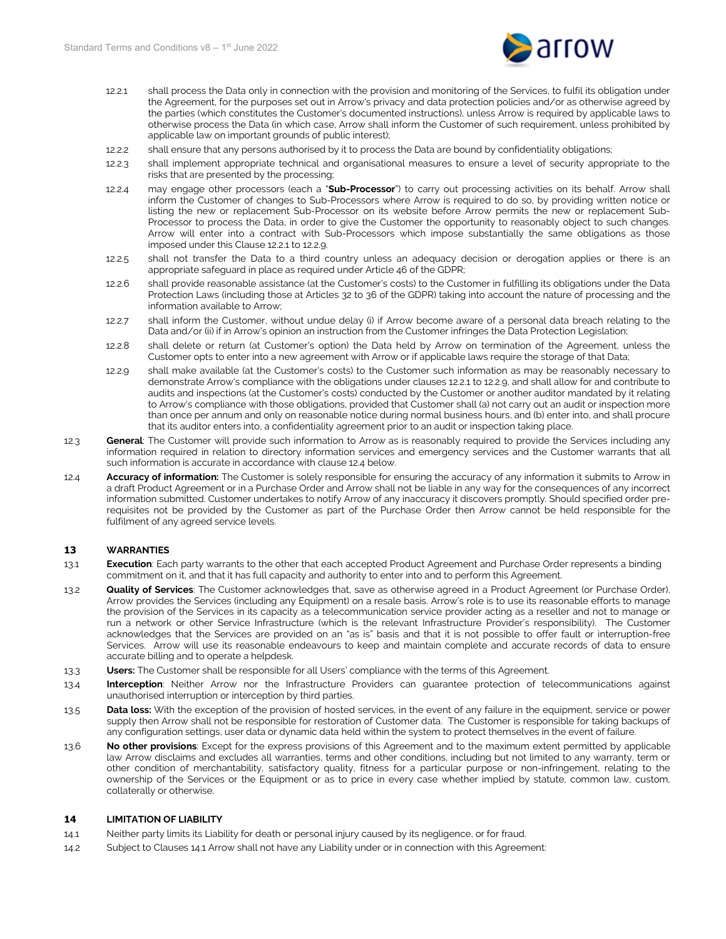

- 12.2.1 shall process the Data only in connection with the provision and monitoring of the Services, to fulfil its obligation under the Agreement, for the purposes set out in Arrow's privacy and data protection policies and/or as otherwise agreed by the parties (which constitutes the Customer's documented instructions), unless Arrow is required by applicable laws to otherwise process the Data (in which case, Arrow shall inform the Customer of such requirement, unless prohibited by applicable law on important grounds of public interest);
- 12.2.2 shall ensure that any persons authorised by it to process the Data are bound by confidentiality obligations;
- 12.2.3 shall implement appropriate technical and organisational measures to ensure a level of security appropriate to the risks that are presented by the processing;
- 12.2.4 may engage other processors (each a "**Sub-Processor**") to carry out processing activities on its behalf. Arrow shall inform the Customer of changes to Sub-Processors where Arrow is required to do so, by providing written notice or listing the new or replacement Sub-Processor on its website before Arrow permits the new or replacement Sub-Processor to process the Data, in order to give the Customer the opportunity to reasonably object to such changes. Arrow will enter into a contract with Sub-Processors which impose substantially the same obligations as those imposed under this Clause 12.2.1 to 12.2.9.
- 12.2.5 shall not transfer the Data to a third country unless an adequacy decision or derogation applies or there is an appropriate safeguard in place as required under Article 46 of the GDPR;
- 12.2.6 shall provide reasonable assistance (at the Customer's costs) to the Customer in fulfilling its obligations under the Data Protection Laws (including those at Articles 32 to 36 of the GDPR) taking into account the nature of processing and the information available to Arrow;
- 12.2.7 shall inform the Customer, without undue delay (i) if Arrow become aware of a personal data breach relating to the Data and/or (ii) if in Arrow's opinion an instruction from the Customer infringes the Data Protection Legislation;
- 12.2.8 shall delete or return (at Customer's option) the Data held by Arrow on termination of the Agreement, unless the Customer opts to enter into a new agreement with Arrow or if applicable laws require the storage of that Data;
- 12.2.9 shall make available (at the Customer's costs) to the Customer such information as may be reasonably necessary to demonstrate Arrow's compliance with the obligations under clauses 12.2.1 to 12.2.9, and shall allow for and contribute to audits and inspections (at the Customer's costs) conducted by the Customer or another auditor mandated by it relating to Arrow's compliance with those obligations, provided that Customer shall (a) not carry out an audit or inspection more than once per annum and only on reasonable notice during normal business hours, and (b) enter into, and shall procure that its auditor enters into, a confidentiality agreement prior to an audit or inspection taking place.
- 12.3 **General**: The Customer will provide such information to Arrow as is reasonably required to provide the Services including any information required in relation to directory information services and emergency services and the Customer warrants that all such information is accurate in accordance with clause 12.4 below.
- 12.4 **Accuracy of information:** The Customer is solely responsible for ensuring the accuracy of any information it submits to Arrow in a draft Product Agreement or in a Purchase Order and Arrow shall not be liable in any way for the consequences of any incorrect information submitted. Customer undertakes to notify Arrow of any inaccuracy it discovers promptly. Should specified order prerequisites not be provided by the Customer as part of the Purchase Order then Arrow cannot be held responsible for the fulfilment of any agreed service levels.

## **13 WARRANTIES**

- 13.1 **Execution**: Each party warrants to the other that each accepted Product Agreement and Purchase Order represents a binding commitment on it, and that it has full capacity and authority to enter into and to perform this Agreement.
- 13.2 **Quality of Services**: The Customer acknowledges that, save as otherwise agreed in a Product Agreement (or Purchase Order), Arrow provides the Services (including any Equipment) on a resale basis. Arrow's role is to use its reasonable efforts to manage the provision of the Services in its capacity as a telecommunication service provider acting as a reseller and not to manage or run a network or other Service Infrastructure (which is the relevant Infrastructure Provider's responsibility). The Customer acknowledges that the Services are provided on an "as is" basis and that it is not possible to offer fault or interruption-free Services. Arrow will use its reasonable endeavours to keep and maintain complete and accurate records of data to ensure accurate billing and to operate a helpdesk.
- 13.3 **Users:** The Customer shall be responsible for all Users' compliance with the terms of this Agreement.
- 13.4 **Interception**: Neither Arrow nor the Infrastructure Providers can guarantee protection of telecommunications against unauthorised interruption or interception by third parties.
- 13.5 **Data loss:** With the exception of the provision of hosted services, in the event of any failure in the equipment, service or power supply then Arrow shall not be responsible for restoration of Customer data. The Customer is responsible for taking backups of any configuration settings, user data or dynamic data held within the system to protect themselves in the event of failure.
- 13.6 **No other provisions**: Except for the express provisions of this Agreement and to the maximum extent permitted by applicable law Arrow disclaims and excludes all warranties, terms and other conditions, including but not limited to any warranty, term or other condition of merchantability, satisfactory quality, fitness for a particular purpose or non-infringement, relating to the ownership of the Services or the Equipment or as to price in every case whether implied by statute, common law, custom, collaterally or otherwise.

## **14 LIMITATION OF LIABILITY**

- <span id="page-5-0"></span>14.1 Neither party limits its Liability for death or personal injury caused by its negligence, or for fraud.
- <span id="page-5-1"></span>14.2 Subject to Clauses [14.1](#page-5-0) Arrow shall not have any Liability under or in connection with this Agreement: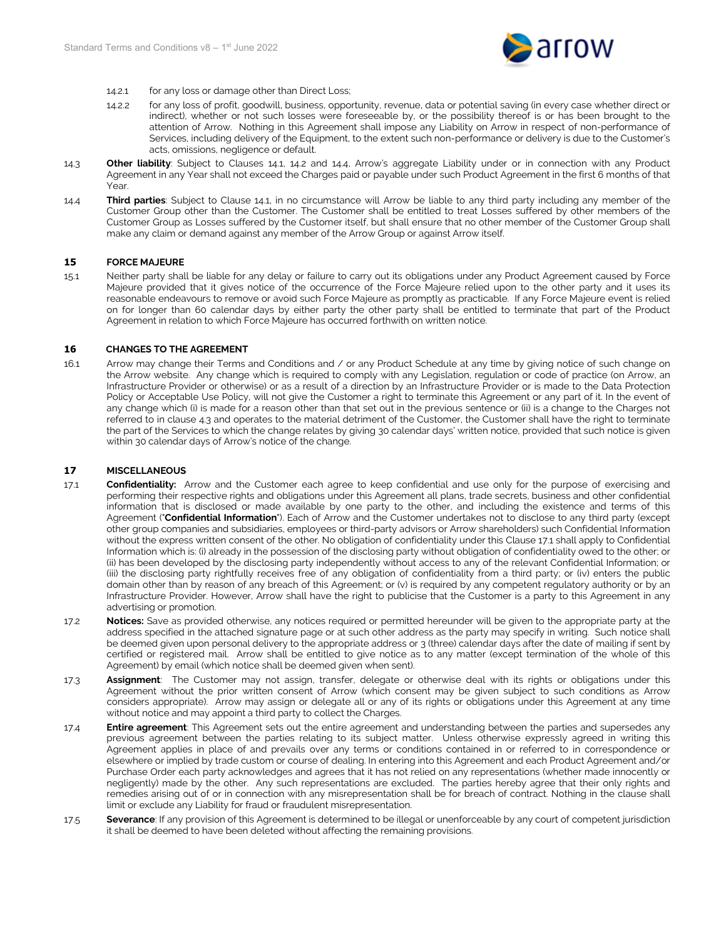

- 14.2.1 for any loss or damage other than Direct Loss;
- 14.2.2 for any loss of profit, goodwill, business, opportunity, revenue, data or potential saving (in every case whether direct or indirect), whether or not such losses were foreseeable by, or the possibility thereof is or has been brought to the attention of Arrow. Nothing in this Agreement shall impose any Liability on Arrow in respect of non-performance of Services, including delivery of the Equipment, to the extent such non-performance or delivery is due to the Customer's acts, omissions, negligence or default.
- 14.3 **Other liability**: Subject to Clauses [14.1,](#page-5-0) [14.2](#page-5-1) and [14.4,](#page-6-1) Arrow's aggregate Liability under or in connection with any Product Agreement in any Year shall not exceed the Charges paid or payable under such Product Agreement in the first 6 months of that Year.
- <span id="page-6-1"></span>14.4 **Third parties**: Subject to Clause [14.1,](#page-5-0) in no circumstance will Arrow be liable to any third party including any member of the Customer Group other than the Customer. The Customer shall be entitled to treat Losses suffered by other members of the Customer Group as Losses suffered by the Customer itself, but shall ensure that no other member of the Customer Group shall make any claim or demand against any member of the Arrow Group or against Arrow itself.

#### **15 FORCE MAJEURE**

15.1 Neither party shall be liable for any delay or failure to carry out its obligations under any Product Agreement caused by Force Majeure provided that it gives notice of the occurrence of the Force Majeure relied upon to the other party and it uses its reasonable endeavours to remove or avoid such Force Majeure as promptly as practicable. If any Force Majeure event is relied on for longer than 60 calendar days by either party the other party shall be entitled to terminate that part of the Product Agreement in relation to which Force Majeure has occurred forthwith on written notice.

#### **16 CHANGES TO THE AGREEMENT**

16.1 Arrow may change their Terms and Conditions and / or any Product Schedule at any time by giving notice of such change on the Arrow website. Any change which is required to comply with any Legislation, regulation or code of practice (on Arrow, an Infrastructure Provider or otherwise) or as a result of a direction by an Infrastructure Provider or is made to the Data Protection Policy or Acceptable Use Policy, will not give the Customer a right to terminate this Agreement or any part of it. In the event of any change which (i) is made for a reason other than that set out in the previous sentence or (ii) is a change to the Charges not referred to in clause [4.3](#page-2-1) and operates to the material detriment of the Customer, the Customer shall have the right to terminate the part of the Services to which the change relates by giving 30 calendar days' written notice, provided that such notice is given within 30 calendar days of Arrow's notice of the change.

## **17 MISCELLANEOUS**

- <span id="page-6-0"></span>17.1 **Confidentiality:** Arrow and the Customer each agree to keep confidential and use only for the purpose of exercising and performing their respective rights and obligations under this Agreement all plans, trade secrets, business and other confidential information that is disclosed or made available by one party to the other, and including the existence and terms of this Agreement ("**Confidential Information**"). Each of Arrow and the Customer undertakes not to disclose to any third party (except other group companies and subsidiaries, employees or third-party advisors or Arrow shareholders) such Confidential Information without the express written consent of the other. No obligation of confidentiality under this Clause [17.1](#page-6-0) shall apply to Confidential Information which is: (i) already in the possession of the disclosing party without obligation of confidentiality owed to the other; or (ii) has been developed by the disclosing party independently without access to any of the relevant Confidential Information; or (iii) the disclosing party rightfully receives free of any obligation of confidentiality from a third party; or (iv) enters the public domain other than by reason of any breach of this Agreement; or (v) is required by any competent regulatory authority or by an Infrastructure Provider. However, Arrow shall have the right to publicise that the Customer is a party to this Agreement in any advertising or promotion.
- 17.2 **Notices:** Save as provided otherwise, any notices required or permitted hereunder will be given to the appropriate party at the address specified in the attached signature page or at such other address as the party may specify in writing. Such notice shall be deemed given upon personal delivery to the appropriate address or 3 (three) calendar days after the date of mailing if sent by certified or registered mail. Arrow shall be entitled to give notice as to any matter (except termination of the whole of this Agreement) by email (which notice shall be deemed given when sent).
- 17.3 **Assignment**: The Customer may not assign, transfer, delegate or otherwise deal with its rights or obligations under this Agreement without the prior written consent of Arrow (which consent may be given subject to such conditions as Arrow considers appropriate). Arrow may assign or delegate all or any of its rights or obligations under this Agreement at any time without notice and may appoint a third party to collect the Charges.
- 17.4 **Entire agreement**: This Agreement sets out the entire agreement and understanding between the parties and supersedes any previous agreement between the parties relating to its subject matter. Unless otherwise expressly agreed in writing this Agreement applies in place of and prevails over any terms or conditions contained in or referred to in correspondence or elsewhere or implied by trade custom or course of dealing. In entering into this Agreement and each Product Agreement and/or Purchase Order each party acknowledges and agrees that it has not relied on any representations (whether made innocently or negligently) made by the other. Any such representations are excluded. The parties hereby agree that their only rights and remedies arising out of or in connection with any misrepresentation shall be for breach of contract. Nothing in the clause shall limit or exclude any Liability for fraud or fraudulent misrepresentation.
- 17.5 **Severance**: If any provision of this Agreement is determined to be illegal or unenforceable by any court of competent jurisdiction it shall be deemed to have been deleted without affecting the remaining provisions.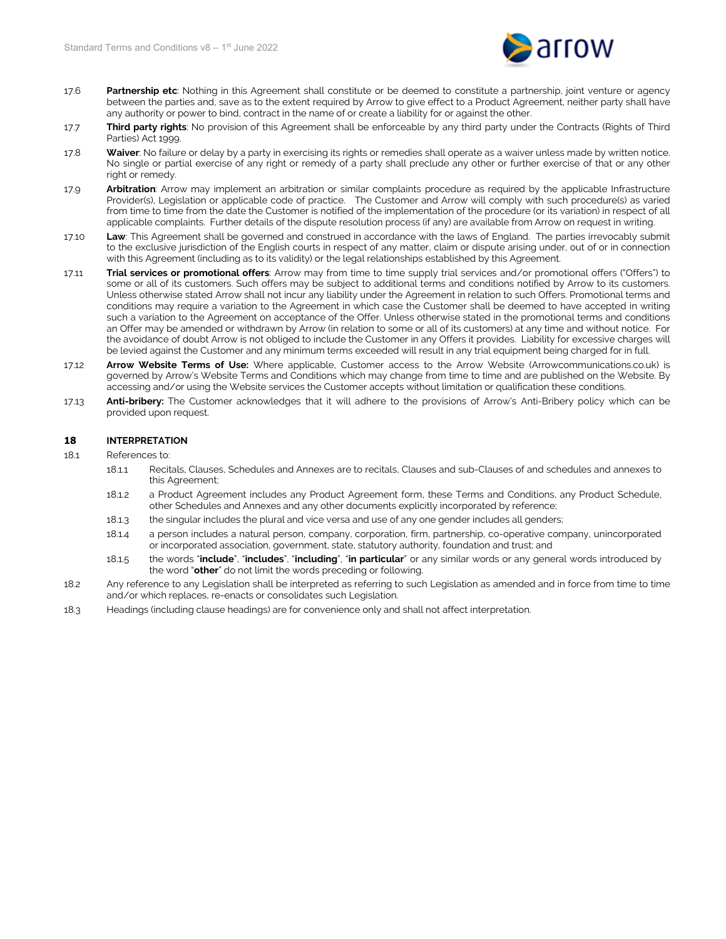

- 17.6 **Partnership etc**: Nothing in this Agreement shall constitute or be deemed to constitute a partnership, joint venture or agency between the parties and, save as to the extent required by Arrow to give effect to a Product Agreement, neither party shall have any authority or power to bind, contract in the name of or create a liability for or against the other.
- 17.7 **Third party rights**: No provision of this Agreement shall be enforceable by any third party under the Contracts (Rights of Third Parties) Act 1999.
- 17.8 **Waiver**: No failure or delay by a party in exercising its rights or remedies shall operate as a waiver unless made by written notice. No single or partial exercise of any right or remedy of a party shall preclude any other or further exercise of that or any other right or remedy.
- 17.9 **Arbitration**: Arrow may implement an arbitration or similar complaints procedure as required by the applicable Infrastructure Provider(s), Legislation or applicable code of practice. The Customer and Arrow will comply with such procedure(s) as varied from time to time from the date the Customer is notified of the implementation of the procedure (or its variation) in respect of all applicable complaints.Further details of the dispute resolution process (if any) are available from Arrow on request in writing.
- 17.10 **Law**: This Agreement shall be governed and construed in accordance with the laws of England. The parties irrevocably submit to the exclusive jurisdiction of the English courts in respect of any matter, claim or dispute arising under, out of or in connection with this Agreement (including as to its validity) or the legal relationships established by this Agreement.
- 17.11 **Trial services or promotional offers**: Arrow may from time to time supply trial services and/or promotional offers ("Offers") to some or all of its customers. Such offers may be subject to additional terms and conditions notified by Arrow to its customers. Unless otherwise stated Arrow shall not incur any liability under the Agreement in relation to such Offers. Promotional terms and conditions may require a variation to the Agreement in which case the Customer shall be deemed to have accepted in writing such a variation to the Agreement on acceptance of the Offer. Unless otherwise stated in the promotional terms and conditions an Offer may be amended or withdrawn by Arrow (in relation to some or all of its customers) at any time and without notice. For the avoidance of doubt Arrow is not obliged to include the Customer in any Offers it provides. Liability for excessive charges will be levied against the Customer and any minimum terms exceeded will result in any trial equipment being charged for in full.
- 17.12 **Arrow Website Terms of Use:** Where applicable, Customer access to the Arrow Website (Arrowcommunications.co.uk) is governed by Arrow's Website Terms and Conditions which may change from time to time and are published on the Website. By accessing and/or using the Website services the Customer accepts without limitation or qualification these conditions.
- 17.13 **Anti-bribery:** The Customer acknowledges that it will adhere to the provisions of Arrow's Anti-Bribery policy which can be provided upon request.

## <span id="page-7-0"></span>**18 INTERPRETATION**

- 18.1 References to:
	- 18.1.1 Recitals, Clauses, Schedules and Annexes are to recitals, Clauses and sub-Clauses of and schedules and annexes to this Agreement;
	- 18.1.2 a Product Agreement includes any Product Agreement form, these Terms and Conditions, any Product Schedule, other Schedules and Annexes and any other documents explicitly incorporated by reference;
	- 18.1.3 the singular includes the plural and vice versa and use of any one gender includes all genders;
	- 18.1.4 a person includes a natural person, company, corporation, firm, partnership, co-operative company, unincorporated or incorporated association, government, state, statutory authority, foundation and trust; and
	- 18.1.5 the words "**include**", "**includes**", "**including**", "**in particular**" or any similar words or any general words introduced by the word "**other**" do not limit the words preceding or following.
- 18.2 Any reference to any Legislation shall be interpreted as referring to such Legislation as amended and in force from time to time and/or which replaces, re-enacts or consolidates such Legislation.
- 18.3 Headings (including clause headings) are for convenience only and shall not affect interpretation.